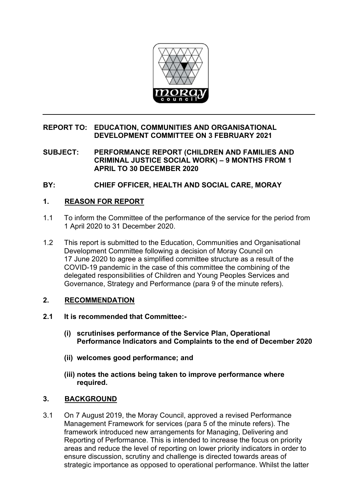

### **REPORT TO: EDUCATION, COMMUNITIES AND ORGANISATIONAL DEVELOPMENT COMMITTEE ON 3 FEBRUARY 2021**

**SUBJECT: PERFORMANCE REPORT (CHILDREN AND FAMILIES AND CRIMINAL JUSTICE SOCIAL WORK) – 9 MONTHS FROM 1 APRIL TO 30 DECEMBER 2020** 

**BY: CHIEF OFFICER, HEALTH AND SOCIAL CARE, MORAY** 

# **1. REASON FOR REPORT**

- 1.1 To inform the Committee of the performance of the service for the period from 1 April 2020 to 31 December 2020.
- 1.2 This report is submitted to the Education, Communities and Organisational Development Committee following a decision of Moray Council on 17 June 2020 to agree a simplified committee structure as a result of the COVID-19 pandemic in the case of this committee the combining of the delegated responsibilities of Children and Young Peoples Services and Governance, Strategy and Performance (para 9 of the minute refers).

## **2. RECOMMENDATION**

- **2.1 It is recommended that Committee:-** 
	- **(i) scrutinises performance of the Service Plan, Operational Performance Indicators and Complaints to the end of December 2020**
	- **(ii) welcomes good performance; and**
	- **(iii) notes the actions being taken to improve performance where required.**

## **3. BACKGROUND**

3.1 On 7 August 2019, the Moray Council, approved a revised Performance Management Framework for services (para 5 of the minute refers). The framework introduced new arrangements for Managing, Delivering and Reporting of Performance. This is intended to increase the focus on priority areas and reduce the level of reporting on lower priority indicators in order to ensure discussion, scrutiny and challenge is directed towards areas of strategic importance as opposed to operational performance. Whilst the latter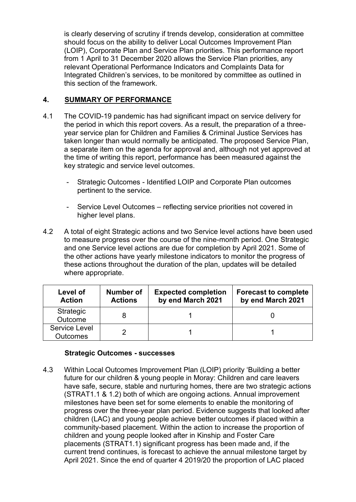is clearly deserving of scrutiny if trends develop, consideration at committee should focus on the ability to deliver Local Outcomes Improvement Plan (LOIP), Corporate Plan and Service Plan priorities. This performance report from 1 April to 31 December 2020 allows the Service Plan priorities, any relevant Operational Performance Indicators and Complaints Data for Integrated Children's services, to be monitored by committee as outlined in this section of the framework.

## **4. SUMMARY OF PERFORMANCE**

- 4.1 The COVID-19 pandemic has had significant impact on service delivery for the period in which this report covers. As a result, the preparation of a threeyear service plan for Children and Families & Criminal Justice Services has taken longer than would normally be anticipated. The proposed Service Plan, a separate item on the agenda for approval and, although not yet approved at the time of writing this report, performance has been measured against the key strategic and service level outcomes.
	- Strategic Outcomes Identified LOIP and Corporate Plan outcomes pertinent to the service.
	- Service Level Outcomes reflecting service priorities not covered in higher level plans.
- 4.2 A total of eight Strategic actions and two Service level actions have been used to measure progress over the course of the nine-month period. One Strategic and one Service level actions are due for completion by April 2021. Some of the other actions have yearly milestone indicators to monitor the progress of these actions throughout the duration of the plan, updates will be detailed where appropriate.

| Level of<br><b>Action</b>        | <b>Number of</b><br><b>Actions</b> | <b>Expected completion</b><br>by end March 2021 | <b>Forecast to complete</b><br>by end March 2021 |
|----------------------------------|------------------------------------|-------------------------------------------------|--------------------------------------------------|
| Strategic<br>Outcome             |                                    |                                                 |                                                  |
| Service Level<br><b>Outcomes</b> |                                    |                                                 |                                                  |

## **Strategic Outcomes - successes**

4.3 Within Local Outcomes Improvement Plan (LOIP) priority 'Building a better future for our children & young people in Moray: Children and care leavers have safe, secure, stable and nurturing homes, there are two strategic actions (STRAT1.1 & 1.2) both of which are ongoing actions. Annual improvement milestones have been set for some elements to enable the monitoring of progress over the three-year plan period. Evidence suggests that looked after children (LAC) and young people achieve better outcomes if placed within a community-based placement. Within the action to increase the proportion of children and young people looked after in Kinship and Foster Care placements (STRAT1.1) significant progress has been made and, if the current trend continues, is forecast to achieve the annual milestone target by April 2021. Since the end of quarter 4 2019/20 the proportion of LAC placed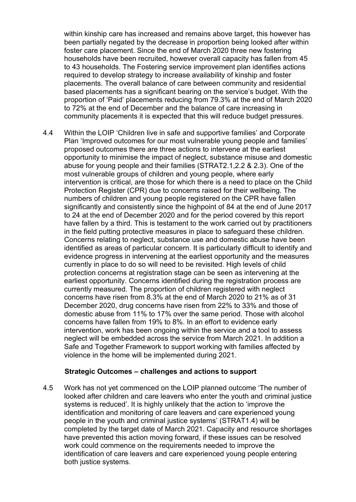within kinship care has increased and remains above target, this however has been partially negated by the decrease in proportion being looked after within foster care placement. Since the end of March 2020 three new fostering households have been recruited, however overall capacity has fallen from 45 to 43 households. The Fostering service improvement plan identifies actions required to develop strategy to increase availability of kinship and foster placements. The overall balance of care between community and residential based placements has a significant bearing on the service's budget. With the proportion of 'Paid' placements reducing from 79.3% at the end of March 2020 to 72% at the end of December and the balance of care increasing in community placements it is expected that this will reduce budget pressures.

4.4 Within the LOIP 'Children live in safe and supportive families' and Corporate Plan 'Improved outcomes for our most vulnerable young people and families' proposed outcomes there are three actions to intervene at the earliest opportunity to minimise the impact of neglect, substance misuse and domestic abuse for young people and their families (STRAT2.1,2.2 & 2.3). One of the most vulnerable groups of children and young people, where early intervention is critical, are those for which there is a need to place on the Child Protection Register (CPR) due to concerns raised for their wellbeing. The numbers of children and young people registered on the CPR have fallen significantly and consistently since the highpoint of 84 at the end of June 2017 to 24 at the end of December 2020 and for the period covered by this report have fallen by a third. This is testament to the work carried out by practitioners in the field putting protective measures in place to safeguard these children. Concerns relating to neglect, substance use and domestic abuse have been identified as areas of particular concern. It is particularly difficult to identify and evidence progress in intervening at the earliest opportunity and the measures currently in place to do so will need to be revisited. High levels of child protection concerns at registration stage can be seen as intervening at the earliest opportunity. Concerns identified during the registration process are currently measured. The proportion of children registered with neglect concerns have risen from 8.3% at the end of March 2020 to 21% as of 31 December 2020, drug concerns have risen from 22% to 33% and those of domestic abuse from 11% to 17% over the same period. Those with alcohol concerns have fallen from 19% to 8%. In an effort to evidence early intervention, work has been ongoing within the service and a tool to assess neglect will be embedded across the service from March 2021. In addition a Safe and Together Framework to support working with families affected by violence in the home will be implemented during 2021.

#### **Strategic Outcomes – challenges and actions to support**

4.5 Work has not yet commenced on the LOIP planned outcome 'The number of looked after children and care leavers who enter the youth and criminal justice systems is reduced'. It is highly unlikely that the action to 'improve the identification and monitoring of care leavers and care experienced young people in the youth and criminal justice systems' (STRAT1.4) will be completed by the target date of March 2021. Capacity and resource shortages have prevented this action moving forward, if these issues can be resolved work could commence on the requirements needed to improve the identification of care leavers and care experienced young people entering both justice systems.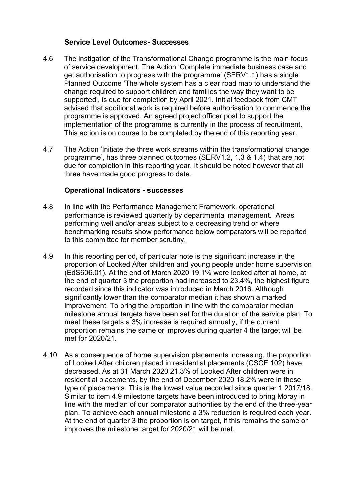### **Service Level Outcomes- Successes**

- 4.6 The instigation of the Transformational Change programme is the main focus of service development. The Action 'Complete immediate business case and get authorisation to progress with the programme' (SERV1.1) has a single Planned Outcome 'The whole system has a clear road map to understand the change required to support children and families the way they want to be supported', is due for completion by April 2021. Initial feedback from CMT advised that additional work is required before authorisation to commence the programme is approved. An agreed project officer post to support the implementation of the programme is currently in the process of recruitment. This action is on course to be completed by the end of this reporting year.
- 4.7 The Action 'Initiate the three work streams within the transformational change programme', has three planned outcomes (SERV1.2, 1.3 & 1.4) that are not due for completion in this reporting year. It should be noted however that all three have made good progress to date.

### **Operational Indicators - successes**

- 4.8 In line with the Performance Management Framework, operational performance is reviewed quarterly by departmental management. Areas performing well and/or areas subject to a decreasing trend or where benchmarking results show performance below comparators will be reported to this committee for member scrutiny.
- 4.9 In this reporting period, of particular note is the significant increase in the proportion of Looked After children and young people under home supervision (EdS606.01). At the end of March 2020 19.1% were looked after at home, at the end of quarter 3 the proportion had increased to 23.4%, the highest figure recorded since this indicator was introduced in March 2016. Although significantly lower than the comparator median it has shown a marked improvement. To bring the proportion in line with the comparator median milestone annual targets have been set for the duration of the service plan. To meet these targets a 3% increase is required annually, if the current proportion remains the same or improves during quarter 4 the target will be met for 2020/21.
- 4.10 As a consequence of home supervision placements increasing, the proportion of Looked After children placed in residential placements (CSCF 102) have decreased. As at 31 March 2020 21.3% of Looked After children were in residential placements, by the end of December 2020 18.2% were in these type of placements. This is the lowest value recorded since quarter 1 2017/18. Similar to item 4.9 milestone targets have been introduced to bring Moray in line with the median of our comparator authorities by the end of the three-year plan. To achieve each annual milestone a 3% reduction is required each year. At the end of quarter 3 the proportion is on target, if this remains the same or improves the milestone target for 2020/21 will be met.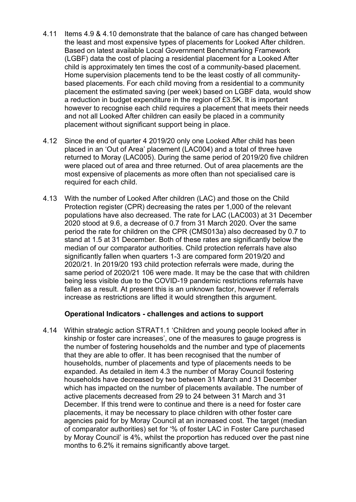- 4.11 Items 4.9 & 4.10 demonstrate that the balance of care has changed between the least and most expensive types of placements for Looked After children. Based on latest available Local Government Benchmarking Framework (LGBF) data the cost of placing a residential placement for a Looked After child is approximately ten times the cost of a community-based placement. Home supervision placements tend to be the least costly of all communitybased placements. For each child moving from a residential to a community placement the estimated saving (per week) based on LGBF data, would show a reduction in budget expenditure in the region of £3.5K. It is important however to recognise each child requires a placement that meets their needs and not all Looked After children can easily be placed in a community placement without significant support being in place.
- 4.12 Since the end of quarter 4 2019/20 only one Looked After child has been placed in an 'Out of Area' placement (LAC004) and a total of three have returned to Moray (LAC005). During the same period of 2019/20 five children were placed out of area and three returned. Out of area placements are the most expensive of placements as more often than not specialised care is required for each child.
- 4.13 With the number of Looked After children (LAC) and those on the Child Protection register (CPR) decreasing the rates per 1,000 of the relevant populations have also decreased. The rate for LAC (LAC003) at 31 December 2020 stood at 9.6, a decrease of 0.7 from 31 March 2020. Over the same period the rate for children on the CPR (CMS013a) also decreased by 0.7 to stand at 1.5 at 31 December. Both of these rates are significantly below the median of our comparator authorities. Child protection referrals have also significantly fallen when quarters 1-3 are compared form 2019/20 and 2020/21. In 2019/20 193 child protection referrals were made, during the same period of 2020/21 106 were made. It may be the case that with children being less visible due to the COVID-19 pandemic restrictions referrals have fallen as a result. At present this is an unknown factor, however if referrals increase as restrictions are lifted it would strengthen this argument.

#### **Operational Indicators - challenges and actions to support**

4.14 Within strategic action STRAT1.1 'Children and young people looked after in kinship or foster care increases', one of the measures to gauge progress is the number of fostering households and the number and type of placements that they are able to offer. It has been recognised that the number of households, number of placements and type of placements needs to be expanded. As detailed in item 4.3 the number of Moray Council fostering households have decreased by two between 31 March and 31 December which has impacted on the number of placements available. The number of active placements decreased from 29 to 24 between 31 March and 31 December. If this trend were to continue and there is a need for foster care placements, it may be necessary to place children with other foster care agencies paid for by Moray Council at an increased cost. The target (median of comparator authorities) set for '% of foster LAC in Foster Care purchased by Moray Council' is 4%, whilst the proportion has reduced over the past nine months to 6.2% it remains significantly above target.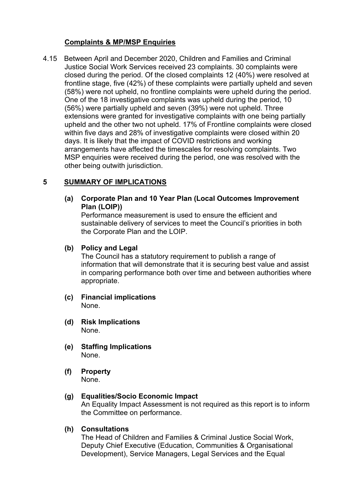### **Complaints & MP/MSP Enquiries**

4.15 Between April and December 2020, Children and Families and Criminal Justice Social Work Services received 23 complaints. 30 complaints were closed during the period. Of the closed complaints 12 (40%) were resolved at frontline stage, five (42%) of these complaints were partially upheld and seven (58%) were not upheld, no frontline complaints were upheld during the period. One of the 18 investigative complaints was upheld during the period, 10 (56%) were partially upheld and seven (39%) were not upheld. Three extensions were granted for investigative complaints with one being partially upheld and the other two not upheld. 17% of Frontline complaints were closed within five days and 28% of investigative complaints were closed within 20 days. It is likely that the impact of COVID restrictions and working arrangements have affected the timescales for resolving complaints. Two MSP enquiries were received during the period, one was resolved with the other being outwith jurisdiction.

## **5 SUMMARY OF IMPLICATIONS**

**(a) Corporate Plan and 10 Year Plan (Local Outcomes Improvement Plan (LOIP))** 

Performance measurement is used to ensure the efficient and sustainable delivery of services to meet the Council's priorities in both the Corporate Plan and the LOIP.

#### **(b) Policy and Legal**

The Council has a statutory requirement to publish a range of information that will demonstrate that it is securing best value and assist in comparing performance both over time and between authorities where appropriate.

- **(c) Financial implications**  None.
- **(d) Risk Implications**  None.
- **(e) Staffing Implications**  None.
- **(f) Property**  None.

### **(g) Equalities/Socio Economic Impact**

An Equality Impact Assessment is not required as this report is to inform the Committee on performance.

#### **(h) Consultations**

The Head of Children and Families & Criminal Justice Social Work, Deputy Chief Executive (Education, Communities & Organisational Development), Service Managers, Legal Services and the Equal